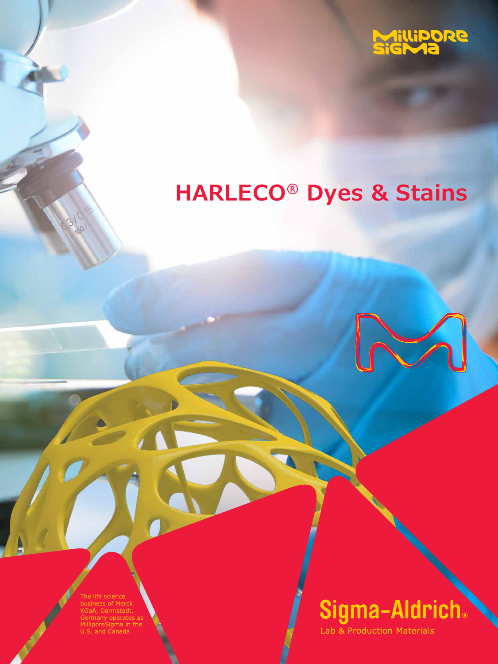

# **HARLECO® Dyes & Stains**



The life science business of Merck KGaA, Darmstadt, nany operates as oreSigma in the U.S. and Canada.

# Sigma-Aldrich.

Lab & Production Materials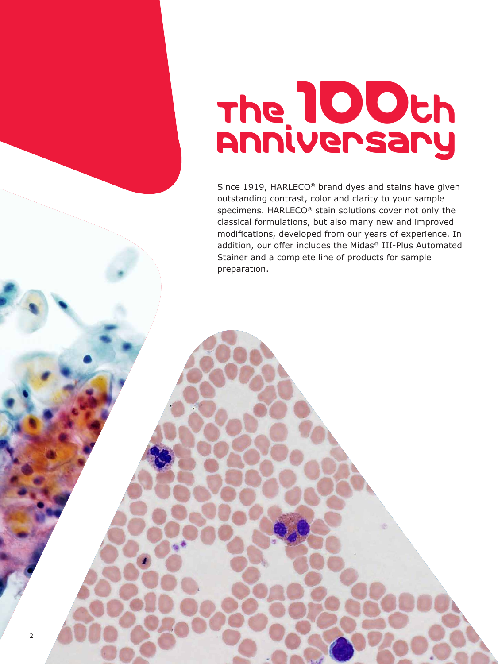# The 100th Anniversary

Since 1919, HARLECO® brand dyes and stains have given outstanding contrast, color and clarity to your sample specimens. HARLECO® stain solutions cover not only the classical formulations, but also many new and improved modifications, developed from our years of experience. In addition, our offer includes the Midas® III-Plus Automated Stainer and a complete line of products for sample preparation.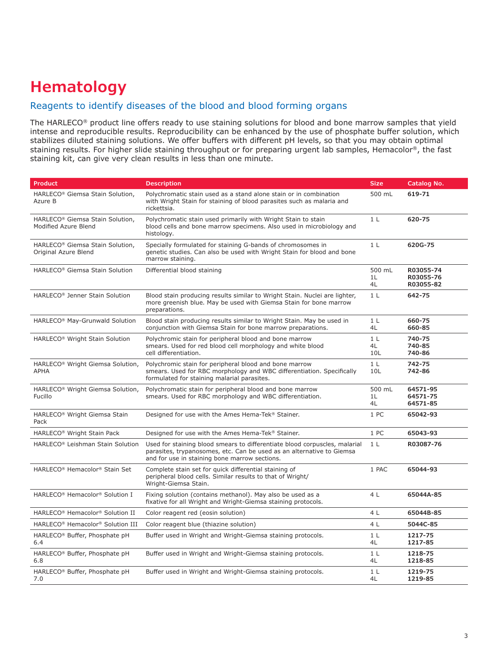## **Hematology**

#### Reagents to identify diseases of the blood and blood forming organs

The HARLECO® product line offers ready to use staining solutions for blood and bone marrow samples that yield intense and reproducible results. Reproducibility can be enhanced by the use of phosphate buffer solution, which stabilizes diluted staining solutions. We offer buffers with different pH levels, so that you may obtain optimal staining results. For higher slide staining throughput or for preparing urgent lab samples, Hemacolor®, the fast staining kit, can give very clean results in less than one minute.

| <b>Product</b>                                                                                                                                                                                                                                       | <b>Description</b>                                                                                                                                               |                             | Catalog No.                         |
|------------------------------------------------------------------------------------------------------------------------------------------------------------------------------------------------------------------------------------------------------|------------------------------------------------------------------------------------------------------------------------------------------------------------------|-----------------------------|-------------------------------------|
| HARLECO <sup>®</sup> Giemsa Stain Solution,<br>Azure B                                                                                                                                                                                               | Polychromatic stain used as a stand alone stain or in combination<br>with Wright Stain for staining of blood parasites such as malaria and<br>rickettsia.        |                             | 619-71                              |
| HARLECO <sup>®</sup> Giemsa Stain Solution,<br>Modified Azure Blend                                                                                                                                                                                  | Polychromatic stain used primarily with Wright Stain to stain<br>blood cells and bone marrow specimens. Also used in microbiology and<br>histology.              | 1 <sub>L</sub>              | 620-75                              |
| HARLECO® Giemsa Stain Solution,<br>Original Azure Blend                                                                                                                                                                                              | Specially formulated for staining G-bands of chromosomes in<br>genetic studies. Can also be used with Wright Stain for blood and bone<br>marrow staining.        | 1 <sub>L</sub>              | 620G-75                             |
| HARLECO® Giemsa Stain Solution                                                                                                                                                                                                                       | Differential blood staining                                                                                                                                      | 500 mL<br>1L<br>4L          | R03055-74<br>R03055-76<br>R03055-82 |
| HARLECO <sup>®</sup> Jenner Stain Solution                                                                                                                                                                                                           | Blood stain producing results similar to Wright Stain. Nuclei are lighter,<br>more greenish blue. May be used with Giemsa Stain for bone marrow<br>preparations. |                             | 642-75                              |
| HARLECO <sup>®</sup> May-Grunwald Solution                                                                                                                                                                                                           | Blood stain producing results similar to Wright Stain. May be used in<br>conjunction with Giemsa Stain for bone marrow preparations.                             | 1 <sub>L</sub><br>4L        | 660-75<br>660-85                    |
| Polychromic stain for peripheral blood and bone marrow<br>HARLECO <sup>®</sup> Wright Stain Solution<br>smears. Used for red blood cell morphology and white blood<br>cell differentiation.                                                          |                                                                                                                                                                  | 1 <sub>L</sub><br>4L<br>10L | 740-75<br>740-85<br>740-86          |
| HARLECO® Wright Giemsa Solution,<br>Polychromic stain for peripheral blood and bone marrow<br>smears. Used for RBC morphology and WBC differentiation. Specifically<br>APHA<br>formulated for staining malarial parasites.                           |                                                                                                                                                                  | 1 <sub>L</sub><br>10L       | 742-75<br>742-86                    |
| Polychromatic stain for peripheral blood and bone marrow<br>HARLECO <sup>®</sup> Wright Giemsa Solution,<br>smears. Used for RBC morphology and WBC differentiation.<br>Fucillo                                                                      |                                                                                                                                                                  | 500 mL<br>1L<br>4L          | 64571-95<br>64571-75<br>64571-85    |
| HARLECO <sup>®</sup> Wright Giemsa Stain<br>Pack                                                                                                                                                                                                     | Designed for use with the Ames Hema-Tek® Stainer.                                                                                                                |                             | 65042-93                            |
| HARLECO <sup>®</sup> Wright Stain Pack                                                                                                                                                                                                               | Designed for use with the Ames Hema-Tek® Stainer.                                                                                                                |                             | 65043-93                            |
| HARLECO <sup>®</sup> Leishman Stain Solution<br>Used for staining blood smears to differentiate blood corpuscles, malarial<br>parasites, trypanosomes, etc. Can be used as an alternative to Giemsa<br>and for use in staining bone marrow sections. |                                                                                                                                                                  | 1 <sub>L</sub>              | R03087-76                           |
| HARLECO® Hemacolor® Stain Set<br>Complete stain set for quick differential staining of<br>peripheral blood cells. Similar results to that of Wright/<br>Wright-Giemsa Stain.                                                                         |                                                                                                                                                                  | 1 PAC                       | 65044-93                            |
| HARLECO® Hemacolor® Solution I<br>Fixing solution (contains methanol). May also be used as a<br>fixative for all Wright and Wright-Giemsa staining protocols.                                                                                        |                                                                                                                                                                  | 4 <sub>L</sub>              | 65044A-85                           |
| HARLECO® Hemacolor® Solution II                                                                                                                                                                                                                      | Color reagent red (eosin solution)                                                                                                                               | 4 L                         | 65044B-85                           |
| HARLECO® Hemacolor® Solution III                                                                                                                                                                                                                     | Color reagent blue (thiazine solution)                                                                                                                           | 4 L                         | 5044C-85                            |
| HARLECO® Buffer, Phosphate pH<br>6.4                                                                                                                                                                                                                 | Buffer used in Wright and Wright-Giemsa staining protocols.                                                                                                      | 1 <sub>L</sub><br>4L        | 1217-75<br>1217-85                  |
| HARLECO® Buffer, Phosphate pH<br>6.8                                                                                                                                                                                                                 | Buffer used in Wright and Wright-Giemsa staining protocols.                                                                                                      |                             | 1218-75<br>1218-85                  |
| HARLECO® Buffer, Phosphate pH<br>7.0                                                                                                                                                                                                                 | Buffer used in Wright and Wright-Giemsa staining protocols.                                                                                                      | 1 <sub>L</sub><br>4L        | 1219-75<br>1219-85                  |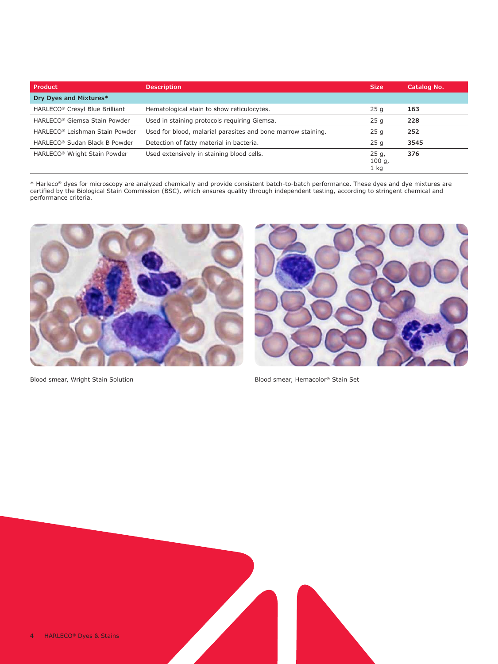| Product                                   | <b>Description</b>                                           | <b>Size</b>               | Catalog No. |
|-------------------------------------------|--------------------------------------------------------------|---------------------------|-------------|
| Dry Dyes and Mixtures*                    |                                                              |                           |             |
| HARLECO® Cresyl Blue Brilliant            | Hematological stain to show reticulocytes.                   | 25q                       | 163         |
| HARLECO® Giemsa Stain Powder              | Used in staining protocols requiring Giemsa.                 | 25q                       | 228         |
| HARLECO® Leishman Stain Powder            | Used for blood, malarial parasites and bone marrow staining. | 25q                       | 252         |
| HARLECO <sup>®</sup> Sudan Black B Powder | Detection of fatty material in bacteria.                     | 25q                       | 3545        |
| HARLECO <sup>®</sup> Wright Stain Powder  | Used extensively in staining blood cells.                    | 25 g,<br>100 g,<br>$1$ kg | 376         |







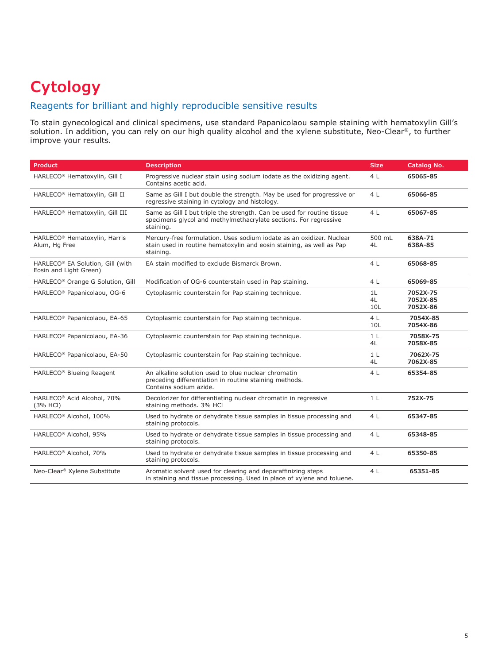## **Cytology**

#### Reagents for brilliant and highly reproducible sensitive results

To stain gynecological and clinical specimens, use standard Papanicolaou sample staining with hematoxylin Gill's solution. In addition, you can rely on our high quality alcohol and the xylene substitute, Neo-Clear®, to further improve your results.

| <b>Product</b>                                                                                                                                                                      | <b>Description</b>                                                                                                                                        |                       | Catalog No.                      |
|-------------------------------------------------------------------------------------------------------------------------------------------------------------------------------------|-----------------------------------------------------------------------------------------------------------------------------------------------------------|-----------------------|----------------------------------|
| HARLECO® Hematoxylin, Gill I                                                                                                                                                        | Progressive nuclear stain using sodium iodate as the oxidizing agent.<br>Contains acetic acid.                                                            |                       | 65065-85                         |
| HARLECO® Hematoxylin, Gill II                                                                                                                                                       | Same as Gill I but double the strength. May be used for progressive or<br>regressive staining in cytology and histology.                                  | 4L                    | 65066-85                         |
| HARLECO <sup>®</sup> Hematoxylin, Gill III                                                                                                                                          | Same as Gill I but triple the strength. Can be used for routine tissue<br>specimens glycol and methylmethacrylate sections. For regressive<br>staining.   | 4L                    | 65067-85                         |
| HARLECO <sup>®</sup> Hematoxylin, Harris<br>Alum, Hg Free                                                                                                                           | Mercury-free formulation. Uses sodium iodate as an oxidizer. Nuclear<br>stain used in routine hematoxylin and eosin staining, as well as Pap<br>staining. |                       | 638A-71<br>638A-85               |
| HARLECO® EA Solution, Gill (with<br>Eosin and Light Green)                                                                                                                          | EA stain modified to exclude Bismarck Brown.                                                                                                              | 4L                    | 65068-85                         |
| HARLECO® Orange G Solution, Gill                                                                                                                                                    | Modification of OG-6 counterstain used in Pap staining.                                                                                                   | 4L                    | 65069-85                         |
| HARLECO <sup>®</sup> Papanicolaou, OG-6<br>Cytoplasmic counterstain for Pap staining technique.                                                                                     |                                                                                                                                                           | 1L<br>4L<br>10L       | 7052X-75<br>7052X-85<br>7052X-86 |
| HARLECO <sup>®</sup> Papanicolaou, EA-65                                                                                                                                            | Cytoplasmic counterstain for Pap staining technique.                                                                                                      | 4 <sub>L</sub><br>10L | 7054X-85<br>7054X-86             |
| HARLECO <sup>®</sup> Papanicolaou, EA-36                                                                                                                                            | Cytoplasmic counterstain for Pap staining technique.                                                                                                      | 1 <sub>L</sub><br>4L  | 7058X-75<br>7058X-85             |
| HARLECO <sup>®</sup> Papanicolaou, EA-50                                                                                                                                            | Cytoplasmic counterstain for Pap staining technique.                                                                                                      |                       | 7062X-75<br>7062X-85             |
| HARLECO® Blueing Reagent                                                                                                                                                            | An alkaline solution used to blue nuclear chromatin<br>preceding differentiation in routine staining methods.<br>Contains sodium azide.                   | 4 <sub>L</sub>        | 65354-85                         |
| HARLECO® Acid Alcohol, 70%<br>(3% HCI)                                                                                                                                              | Decolorizer for differentiating nuclear chromatin in regressive<br>staining methods. 3% HCl                                                               |                       | 752X-75                          |
| HARLECO® Alcohol, 100%<br>Used to hydrate or dehydrate tissue samples in tissue processing and<br>staining protocols.                                                               |                                                                                                                                                           | 4L                    | 65347-85                         |
| HARLECO® Alcohol, 95%                                                                                                                                                               | Used to hydrate or dehydrate tissue samples in tissue processing and<br>staining protocols.                                                               |                       | 65348-85                         |
| HARLECO <sup>®</sup> Alcohol, 70%                                                                                                                                                   | Used to hydrate or dehydrate tissue samples in tissue processing and<br>staining protocols.                                                               |                       | 65350-85                         |
| Neo-Clear <sup>®</sup> Xylene Substitute<br>Aromatic solvent used for clearing and deparaffinizing steps<br>in staining and tissue processing. Used in place of xylene and toluene. |                                                                                                                                                           | 4L                    | 65351-85                         |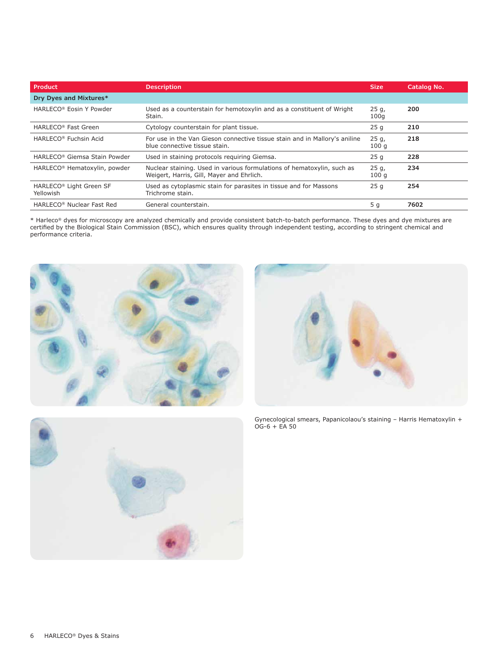| Product                                  | <b>Description</b>                                                                                                  |                | Catalog No. |
|------------------------------------------|---------------------------------------------------------------------------------------------------------------------|----------------|-------------|
| Dry Dyes and Mixtures*                   |                                                                                                                     |                |             |
| HARLECO <sup>®</sup> Eosin Y Powder      | Used as a counterstain for hemotoxylin and as a constituent of Wright<br>Stain.                                     | 25q,<br>100q   | 200         |
| HARLECO <sup>®</sup> Fast Green          | Cytology counterstain for plant tissue.                                                                             | 25q            | 210         |
| HARLECO <sup>®</sup> Fuchsin Acid        | For use in the Van Gieson connective tissue stain and in Mallory's aniline<br>blue connective tissue stain.         | 25 g,<br>100q  | 218         |
| HARLECO® Giemsa Stain Powder             | Used in staining protocols requiring Giemsa.                                                                        | 25q            | 228         |
| HARLECO <sup>®</sup> Hematoxylin, powder | Nuclear staining. Used in various formulations of hematoxylin, such as<br>Weigert, Harris, Gill, Mayer and Ehrlich. | 25 g,<br>100q  | 234         |
| HARLECO® Light Green SF<br>Yellowish     | Used as cytoplasmic stain for parasites in tissue and for Massons<br>Trichrome stain.                               | 25q            | 254         |
| HARLECO <sup>®</sup> Nuclear Fast Red    | General counterstain.                                                                                               | 5 <sub>q</sub> | 7602        |





Gynecological smears, Papanicolaou's staining – Harris Hematoxylin + OG-6 + EA 50

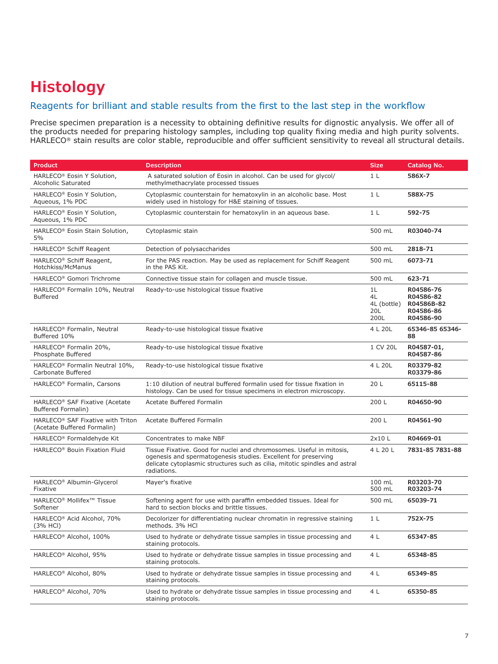## **Histology**

#### Reagents for brilliant and stable results from the first to the last step in the workflow

Precise specimen preparation is a necessity to obtaining definitive results for dignostic anyalysis. We offer all of the products needed for preparing histology samples, including top quality fixing media and high purity solvents. HARLECO® stain results are color stable, reproducible and offer sufficient sensitivity to reveal all structural details.

| <b>Product</b>                                                               | <b>Description</b>                                                                                                                                                                                                                  | <b>Size</b>                            | Catalog No.                                                    |
|------------------------------------------------------------------------------|-------------------------------------------------------------------------------------------------------------------------------------------------------------------------------------------------------------------------------------|----------------------------------------|----------------------------------------------------------------|
| HARLECO® Eosin Y Solution,<br>Alcoholic Saturated                            | A saturated solution of Eosin in alcohol. Can be used for glycol/<br>methylmethacrylate processed tissues                                                                                                                           | 1 <sub>L</sub>                         | 586X-7                                                         |
| HARLECO <sup>®</sup> Eosin Y Solution,<br>Aqueous, 1% PDC                    | Cytoplasmic counterstain for hematoxylin in an alcoholic base. Most<br>widely used in histology for H&E staining of tissues.                                                                                                        | 1 <sub>L</sub>                         | 588X-75                                                        |
| HARLECO® Eosin Y Solution,<br>Aqueous, 1% PDC                                | Cytoplasmic counterstain for hematoxylin in an aqueous base.                                                                                                                                                                        | 1 <sub>L</sub>                         | 592-75                                                         |
| HARLECO® Eosin Stain Solution,<br>5%                                         | Cytoplasmic stain                                                                                                                                                                                                                   | 500 mL                                 | R03040-74                                                      |
| HARLECO <sup>®</sup> Schiff Reagent                                          | Detection of polysaccharides                                                                                                                                                                                                        | 500 mL                                 | 2818-71                                                        |
| HARLECO <sup>®</sup> Schiff Reagent,<br>Hotchkiss/McManus                    | For the PAS reaction. May be used as replacement for Schiff Reagent<br>in the PAS Kit.                                                                                                                                              | 500 mL                                 | 6073-71                                                        |
| HARLECO <sup>®</sup> Gomori Trichrome                                        | Connective tissue stain for collagen and muscle tissue.                                                                                                                                                                             | 500 mL                                 | 623-71                                                         |
| HARLECO® Formalin 10%, Neutral<br><b>Buffered</b>                            | Ready-to-use histological tissue fixative                                                                                                                                                                                           | 1L<br>4L<br>4L (bottle)<br>20L<br>200L | R04586-76<br>R04586-82<br>R04586B-82<br>R04586-86<br>R04586-90 |
| HARLECO® Formalin, Neutral<br>Buffered 10%                                   | Ready-to-use histological tissue fixative                                                                                                                                                                                           | 4 L 20L                                | 65346-85 65346-<br>88                                          |
| HARLECO® Formalin 20%,<br>Phosphate Buffered                                 | Ready-to-use histological tissue fixative                                                                                                                                                                                           | 1 CV 20L                               | R04587-01,<br>R04587-86                                        |
| HARLECO® Formalin Neutral 10%,<br>Carbonate Buffered                         | Ready-to-use histological tissue fixative                                                                                                                                                                                           | 4 L 20L                                | R03379-82<br>R03379-86                                         |
| HARLECO® Formalin, Carsons                                                   | 1:10 dilution of neutral buffered formalin used for tissue fixation in<br>histology. Can be used for tissue specimens in electron microscopy.                                                                                       |                                        | 65115-88                                                       |
| HARLECO <sup>®</sup> SAF Fixative (Acetate<br>Buffered Formalin)             | Acetate Buffered Formalin                                                                                                                                                                                                           | 200 L                                  | R04650-90                                                      |
| HARLECO <sup>®</sup> SAF Fixative with Triton<br>(Acetate Buffered Formalin) | Acetate Buffered Formalin                                                                                                                                                                                                           | 200 L                                  | R04561-90                                                      |
| HARLECO® Formaldehyde Kit                                                    | Concentrates to make NBF                                                                                                                                                                                                            | 2x10L                                  | R04669-01                                                      |
| HARLECO <sup>®</sup> Bouin Fixation Fluid                                    | Tissue Fixative. Good for nuclei and chromosomes. Useful in mitosis,<br>ogenesis and spermatogenesis studies. Excellent for preserving<br>delicate cytoplasmic structures such as cilia, mitotic spindles and astral<br>radiations. | 4 L 20 L                               | 7831-85 7831-88                                                |
| HARLECO <sup>®</sup> Albumin-Glycerol<br>Fixative                            | Mayer's fixative                                                                                                                                                                                                                    | $100$ mL<br>500 mL                     | R03203-70<br>R03203-74                                         |
| HARLECO <sup>®</sup> Mollifex <sup>™</sup> Tissue<br>Softener                | Softening agent for use with paraffin embedded tissues. Ideal for<br>hard to section blocks and brittle tissues.                                                                                                                    | 500 mL                                 | 65039-71                                                       |
| HARLECO® Acid Alcohol, 70%<br>(3% HCI)                                       | Decolorizer for differentiating nuclear chromatin in regressive staining<br>methods, 3% HCI                                                                                                                                         | 1 <sub>L</sub>                         | 752X-75                                                        |
| HARLECO <sup>®</sup> Alcohol, 100%                                           | Used to hydrate or dehydrate tissue samples in tissue processing and<br>staining protocols.                                                                                                                                         | 4 L                                    | 65347-85                                                       |
| HARLECO <sup>®</sup> Alcohol, 95%                                            | Used to hydrate or dehydrate tissue samples in tissue processing and<br>staining protocols.                                                                                                                                         | 4 L                                    | 65348-85                                                       |
| HARLECO <sup>®</sup> Alcohol, 80%                                            | Used to hydrate or dehydrate tissue samples in tissue processing and<br>staining protocols.                                                                                                                                         | 4 L                                    | 65349-85                                                       |
| HARLECO <sup>®</sup> Alcohol, 70%                                            | Used to hydrate or dehydrate tissue samples in tissue processing and<br>staining protocols.                                                                                                                                         | 4 L                                    | 65350-85                                                       |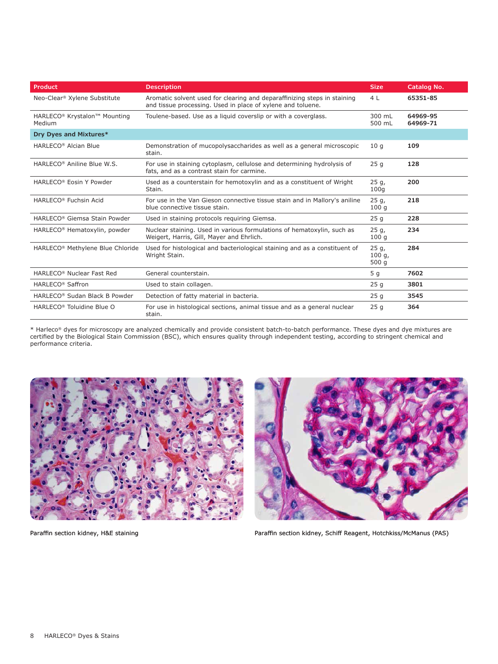| <b>Product</b>                                                                                                                                                  | <b>Description</b>                                                                                                                      |                           | Catalog No.          |
|-----------------------------------------------------------------------------------------------------------------------------------------------------------------|-----------------------------------------------------------------------------------------------------------------------------------------|---------------------------|----------------------|
| Neo-Clear <sup>®</sup> Xylene Substitute                                                                                                                        | Aromatic solvent used for clearing and deparaffinizing steps in staining<br>and tissue processing. Used in place of xylene and toluene. |                           | 65351-85             |
| HARLECO <sup>®</sup> Krystalon <sup>™</sup> Mounting<br>Medium                                                                                                  | Toulene-based. Use as a liquid coverslip or with a coverglass.                                                                          | 300 mL<br>500 mL          | 64969-95<br>64969-71 |
| Dry Dyes and Mixtures*                                                                                                                                          |                                                                                                                                         |                           |                      |
| HARLECO <sup>®</sup> Alcian Blue                                                                                                                                | Demonstration of mucopolysaccharides as well as a general microscopic<br>stain.                                                         | 10q                       | 109                  |
| HARLECO® Aniline Blue W.S.                                                                                                                                      | For use in staining cytoplasm, cellulose and determining hydrolysis of<br>fats, and as a contrast stain for carmine.                    | 25q                       | 128                  |
| HARLECO <sup>®</sup> Eosin Y Powder<br>Used as a counterstain for hemotoxylin and as a constituent of Wright<br>Stain.                                          |                                                                                                                                         | $25q$ ,<br>100q           | 200                  |
| HARLECO <sup>®</sup> Fuchsin Acid                                                                                                                               | For use in the Van Gieson connective tissue stain and in Mallory's aniline<br>blue connective tissue stain.                             |                           | 218                  |
| HARLECO® Giemsa Stain Powder                                                                                                                                    | Used in staining protocols requiring Giemsa.                                                                                            |                           | 228                  |
| HARLECO <sup>®</sup> Hematoxylin, powder<br>Nuclear staining. Used in various formulations of hematoxylin, such as<br>Weigert, Harris, Gill, Mayer and Ehrlich. |                                                                                                                                         | $25q$ ,<br>100q           | 234                  |
| HARLECO <sup>®</sup> Methylene Blue Chloride                                                                                                                    | Used for histological and bacteriological staining and as a constituent of<br>Wright Stain.                                             | $25q$ ,<br>100q,<br>500 g | 284                  |
| HARLECO <sup>®</sup> Nuclear Fast Red                                                                                                                           | General counterstain.                                                                                                                   | 5 <sub>q</sub>            | 7602                 |
| HARLECO <sup>®</sup> Saffron                                                                                                                                    | Used to stain collagen.                                                                                                                 | 25q                       | 3801                 |
| HARLECO® Sudan Black B Powder                                                                                                                                   | Detection of fatty material in bacteria.                                                                                                |                           | 3545                 |
| HARLECO <sup>®</sup> Toluidine Blue O                                                                                                                           | For use in histological sections, animal tissue and as a general nuclear<br>stain.                                                      | 25q                       | 364                  |





Paraffin section kidney, H&E staining external paraftin section kidney, Schiff Reagent, Hotchkiss/McManus (PAS)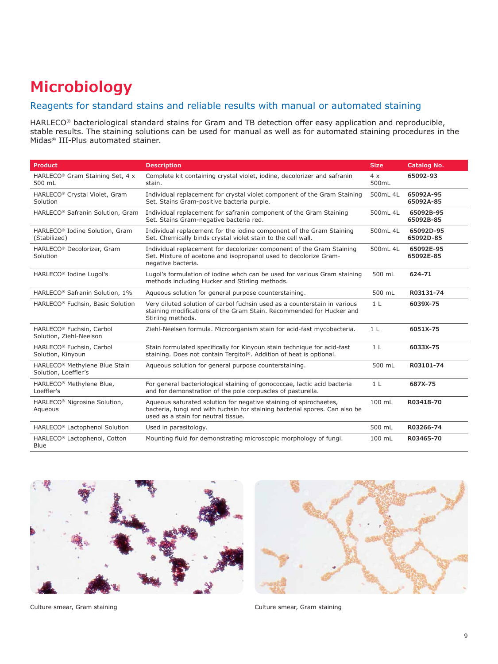## **Microbiology**

#### Reagents for standard stains and reliable results with manual or automated staining

HARLECO® bacteriological standard stains for Gram and TB detection offer easy application and reproducible, stable results. The staining solutions can be used for manual as well as for automated staining procedures in the Midas® III-Plus automated stainer.

| <b>Product</b>                                                                                                                                                                                                                                 | <b>Description</b>                                                                                                                                              |                | Catalog No.            |
|------------------------------------------------------------------------------------------------------------------------------------------------------------------------------------------------------------------------------------------------|-----------------------------------------------------------------------------------------------------------------------------------------------------------------|----------------|------------------------|
| HARLECO® Gram Staining Set, 4 x<br>500 mL                                                                                                                                                                                                      | Complete kit containing crystal violet, iodine, decolorizer and safranin<br>stain.                                                                              |                | 65092-93               |
| HARLECO® Crystal Violet, Gram<br>Solution                                                                                                                                                                                                      | Individual replacement for crystal violet component of the Gram Staining<br>Set. Stains Gram-positive bacteria purple.                                          | 500mL 4L       | 65092A-95<br>65092A-85 |
| HARLECO <sup>®</sup> Safranin Solution, Gram                                                                                                                                                                                                   | Individual replacement for safranin component of the Gram Staining<br>Set. Stains Gram-negative bacteria red.                                                   | 500mL 4L       | 65092B-95<br>65092B-85 |
| HARLECO <sup>®</sup> Iodine Solution, Gram<br>(Stabilized)                                                                                                                                                                                     | Individual replacement for the iodine component of the Gram Staining<br>Set. Chemically binds crystal violet stain to the cell wall.                            | 500mL 4L       | 65092D-95<br>65092D-85 |
| HARLECO <sup>®</sup> Decolorizer, Gram<br>Solution                                                                                                                                                                                             | Individual replacement for decolorizer component of the Gram Staining<br>Set. Mixture of acetone and isopropanol used to decolorize Gram-<br>negative bacteria. |                | 65092E-95<br>65092E-85 |
| HARLECO <sup>®</sup> Iodine Lugol's                                                                                                                                                                                                            | Lugol's formulation of iodine whch can be used for various Gram staining<br>methods including Hucker and Stirling methods.                                      |                | 624-71                 |
| HARLECO <sup>®</sup> Safranin Solution, 1%                                                                                                                                                                                                     | Aqueous solution for general purpose counterstaining.                                                                                                           |                | R03131-74              |
| HARLECO® Fuchsin, Basic Solution<br>Very diluted solution of carbol fuchsin used as a counterstain in various<br>staining modifications of the Gram Stain. Recommended for Hucker and<br>Stirling methods.                                     |                                                                                                                                                                 | 1 <sub>L</sub> | 6039X-75               |
| HARLECO® Fuchsin, Carbol<br>Solution, Ziehl-Neelson                                                                                                                                                                                            | Ziehl-Neelsen formula. Microorganism stain for acid-fast mycobacteria.                                                                                          |                | 6051X-75               |
| HARLECO® Fuchsin, Carbol<br>Solution, Kinyoun                                                                                                                                                                                                  | Stain formulated specifically for Kinyoun stain technique for acid-fast<br>staining. Does not contain Tergitol®, Addition of heat is optional.                  |                | 6033X-75               |
| HARLECO <sup>®</sup> Methylene Blue Stain<br>Solution, Loeffler's                                                                                                                                                                              | Aqueous solution for general purpose counterstaining.                                                                                                           |                | R03101-74              |
| For general bacteriological staining of gonococcae, lactic acid bacteria<br>HARLECO <sup>®</sup> Methylene Blue,<br>and for demonstration of the pole corpuscles of pasturella.<br>Loeffler's                                                  |                                                                                                                                                                 | 1 <sub>L</sub> | 687X-75                |
| Aqueous saturated solution for negative staining of spirochaetes,<br>HARLECO <sup>®</sup> Nigrosine Solution,<br>bacteria, fungi and with fuchsin for staining bacterial spores. Can also be<br>Aqueous<br>used as a stain for neutral tissue. |                                                                                                                                                                 | 100 mL         | R03418-70              |
| HARLECO® Lactophenol Solution                                                                                                                                                                                                                  | Used in parasitology.                                                                                                                                           |                | R03266-74              |
| HARLECO <sup>®</sup> Lactophenol, Cotton<br>Blue                                                                                                                                                                                               | Mounting fluid for demonstrating microscopic morphology of fungi.                                                                                               |                | R03465-70              |





Culture smear, Gram staining example and the Culture smear, Gram staining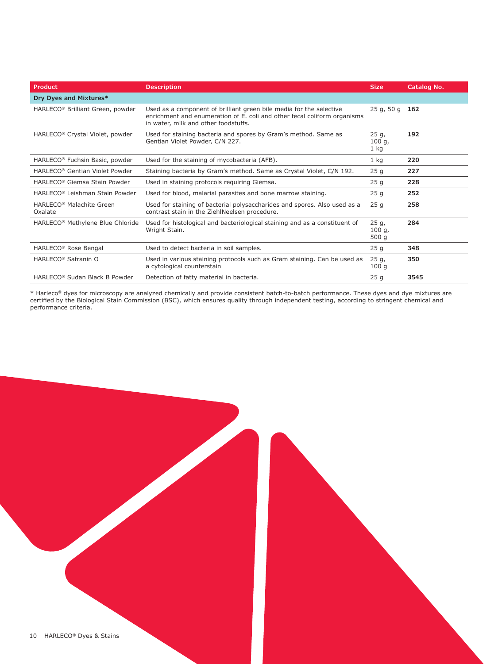| Product                                                                                                                                     | <b>Description</b>                                                                                                                                                                      |                         | Catalog No. |
|---------------------------------------------------------------------------------------------------------------------------------------------|-----------------------------------------------------------------------------------------------------------------------------------------------------------------------------------------|-------------------------|-------------|
| Dry Dyes and Mixtures*                                                                                                                      |                                                                                                                                                                                         |                         |             |
| HARLECO <sup>®</sup> Brilliant Green, powder                                                                                                | Used as a component of brilliant green bile media for the selective<br>enrichment and enumeration of E. coli and other fecal coliform organisms<br>in water, milk and other foodstuffs. | 25q, 50q                | 162         |
| HARLECO <sup>®</sup> Crystal Violet, powder                                                                                                 | Used for staining bacteria and spores by Gram's method. Same as<br>Gentian Violet Powder, C/N 227.                                                                                      | 25q,<br>100q,<br>$1$ kg | 192         |
| HARLECO <sup>®</sup> Fuchsin Basic, powder                                                                                                  | Used for the staining of mycobacteria (AFB).                                                                                                                                            | 1 kg                    | 220         |
| HARLECO <sup>®</sup> Gentian Violet Powder                                                                                                  | Staining bacteria by Gram's method. Same as Crystal Violet, C/N 192.                                                                                                                    | 25 <sub>q</sub>         | 227         |
| HARLECO <sup>®</sup> Giemsa Stain Powder                                                                                                    | Used in staining protocols requiring Giemsa.                                                                                                                                            | 25 <sub>q</sub>         | 228         |
| HARLECO <sup>®</sup> Leishman Stain Powder                                                                                                  | Used for blood, malarial parasites and bone marrow staining.                                                                                                                            | 25 <sub>q</sub>         | 252         |
| HARLECO <sup>®</sup> Malachite Green<br>Oxalate                                                                                             | Used for staining of bacterial polysaccharides and spores. Also used as a<br>contrast stain in the ZiehlNeelsen procedure.                                                              | 25q                     | 258         |
| HARLECO <sup>®</sup> Methylene Blue Chloride<br>Used for histological and bacteriological staining and as a constituent of<br>Wright Stain. |                                                                                                                                                                                         | 25q,<br>100q,<br>500 g  | 284         |
| HARLECO <sup>®</sup> Rose Bengal                                                                                                            | Used to detect bacteria in soil samples.                                                                                                                                                | 25q                     | 348         |
| HARLECO <sup>®</sup> Safranin O                                                                                                             | Used in various staining protocols such as Gram staining. Can be used as<br>a cytological counterstain                                                                                  | 25q,<br>100q            | 350         |
| HARLECO <sup>®</sup> Sudan Black B Powder                                                                                                   | Detection of fatty material in bacteria.                                                                                                                                                | 25q                     | 3545        |

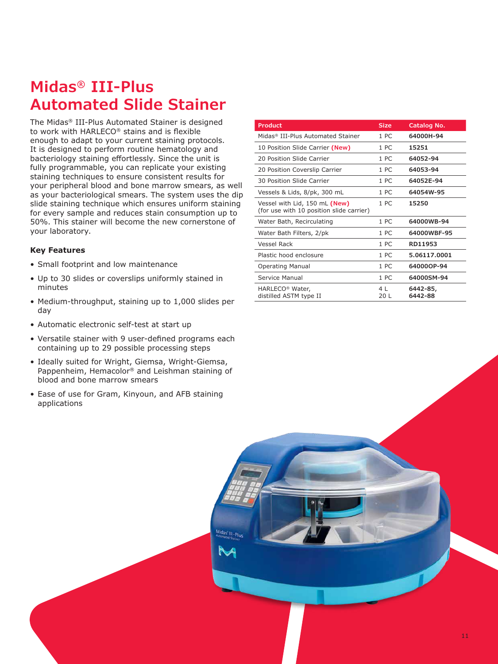### **Midas® III-Plus Automated Slide Stainer**

The Midas® III-Plus Automated Stainer is designed to work with HARLECO® stains and is flexible enough to adapt to your current staining protocols. It is designed to perform routine hematology and bacteriology staining effortlessly. Since the unit is fully programmable, you can replicate your existing staining techniques to ensure consistent results for your peripheral blood and bone marrow smears, as well as your bacteriological smears. The system uses the dip slide staining technique which ensures uniform staining for every sample and reduces stain consumption up to 50%. This stainer will become the new cornerstone of your laboratory.

#### **Key Features**

- Small footprint and low maintenance
- Up to 30 slides or coverslips uniformly stained in minutes
- Medium-throughput, staining up to 1,000 slides per day
- Automatic electronic self-test at start up
- Versatile stainer with 9 user-defined programs each containing up to 29 possible processing steps
- Ideally suited for Wright, Giemsa, Wright-Giemsa, Pappenheim, Hemacolor® and Leishman staining of blood and bone marrow smears
- Ease of use for Gram, Kinyoun, and AFB staining applications

| <b>Product</b>                                                            | <b>Size</b>     | Catalog No.         |
|---------------------------------------------------------------------------|-----------------|---------------------|
| Midas® III-Plus Automated Stainer                                         | 1 PC            | 64000H-94           |
| 10 Position Slide Carrier (New)                                           | 1 PC            | 15251               |
| 20 Position Slide Carrier                                                 | 1 PC            | 64052-94            |
| 20 Position Coverslip Carrier                                             | 1 PC            | 64053-94            |
| 30 Position Slide Carrier                                                 | 1 PC            | 64052E-94           |
| Vessels & Lids, 8/pk, 300 mL                                              | 1 PC            | 64054W-95           |
| Vessel with Lid, 150 mL (New)<br>(for use with 10 position slide carrier) | 1 PC            | 15250               |
| Water Bath, Recirculating                                                 | 1 <sub>PC</sub> | 64000WB-94          |
| Water Bath Filters, 2/pk                                                  | 1 PC            | 64000WBF-95         |
| <b>Vessel Rack</b>                                                        | 1 PC            | RD11953             |
| Plastic hood enclosure                                                    | 1 PC            | 5.06117.0001        |
| <b>Operating Manual</b>                                                   | 1 PC            | 64000OP-94          |
| Service Manual                                                            | 1 PC            | 64000SM-94          |
| HARLECO <sup>®</sup> Water,<br>distilled ASTM type II                     | 4  <br>20 L     | 6442-85,<br>6442-88 |